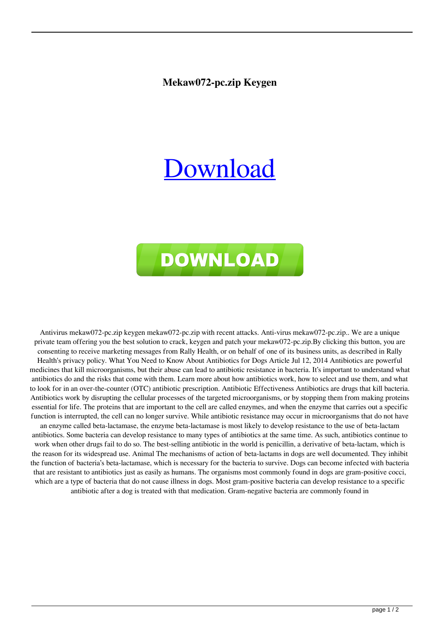## **Mekaw072-pc.zip Keygen**

## [Download](http://evacdir.com/ZG93bmxvYWR8QjFhTW5SbFozeDhNVFkxTWpjME1EZzJObng4TWpVM05IeDhLRTBwSUhKbFlXUXRZbXh2WnlCYlJtRnpkQ0JIUlU1ZA/dooney.striking.giftbasket/bWVrYXcwNzItcGMuemlwIGtleWdlbgbWV.itinerary)



Antivirus mekaw072-pc.zip keygen mekaw072-pc.zip with recent attacks. Anti-virus mekaw072-pc.zip.. We are a unique private team offering you the best solution to crack, keygen and patch your mekaw072-pc.zip.By clicking this button, you are consenting to receive marketing messages from Rally Health, or on behalf of one of its business units, as described in Rally Health's privacy policy. What You Need to Know About Antibiotics for Dogs Article Jul 12, 2014 Antibiotics are powerful medicines that kill microorganisms, but their abuse can lead to antibiotic resistance in bacteria. It's important to understand what antibiotics do and the risks that come with them. Learn more about how antibiotics work, how to select and use them, and what to look for in an over-the-counter (OTC) antibiotic prescription. Antibiotic Effectiveness Antibiotics are drugs that kill bacteria. Antibiotics work by disrupting the cellular processes of the targeted microorganisms, or by stopping them from making proteins essential for life. The proteins that are important to the cell are called enzymes, and when the enzyme that carries out a specific function is interrupted, the cell can no longer survive. While antibiotic resistance may occur in microorganisms that do not have an enzyme called beta-lactamase, the enzyme beta-lactamase is most likely to develop resistance to the use of beta-lactam antibiotics. Some bacteria can develop resistance to many types of antibiotics at the same time. As such, antibiotics continue to work when other drugs fail to do so. The best-selling antibiotic in the world is penicillin, a derivative of beta-lactam, which is the reason for its widespread use. Animal The mechanisms of action of beta-lactams in dogs are well documented. They inhibit the function of bacteria's beta-lactamase, which is necessary for the bacteria to survive. Dogs can become infected with bacteria that are resistant to antibiotics just as easily as humans. The organisms most commonly found in dogs are gram-positive cocci, which are a type of bacteria that do not cause illness in dogs. Most gram-positive bacteria can develop resistance to a specific antibiotic after a dog is treated with that medication. Gram-negative bacteria are commonly found in